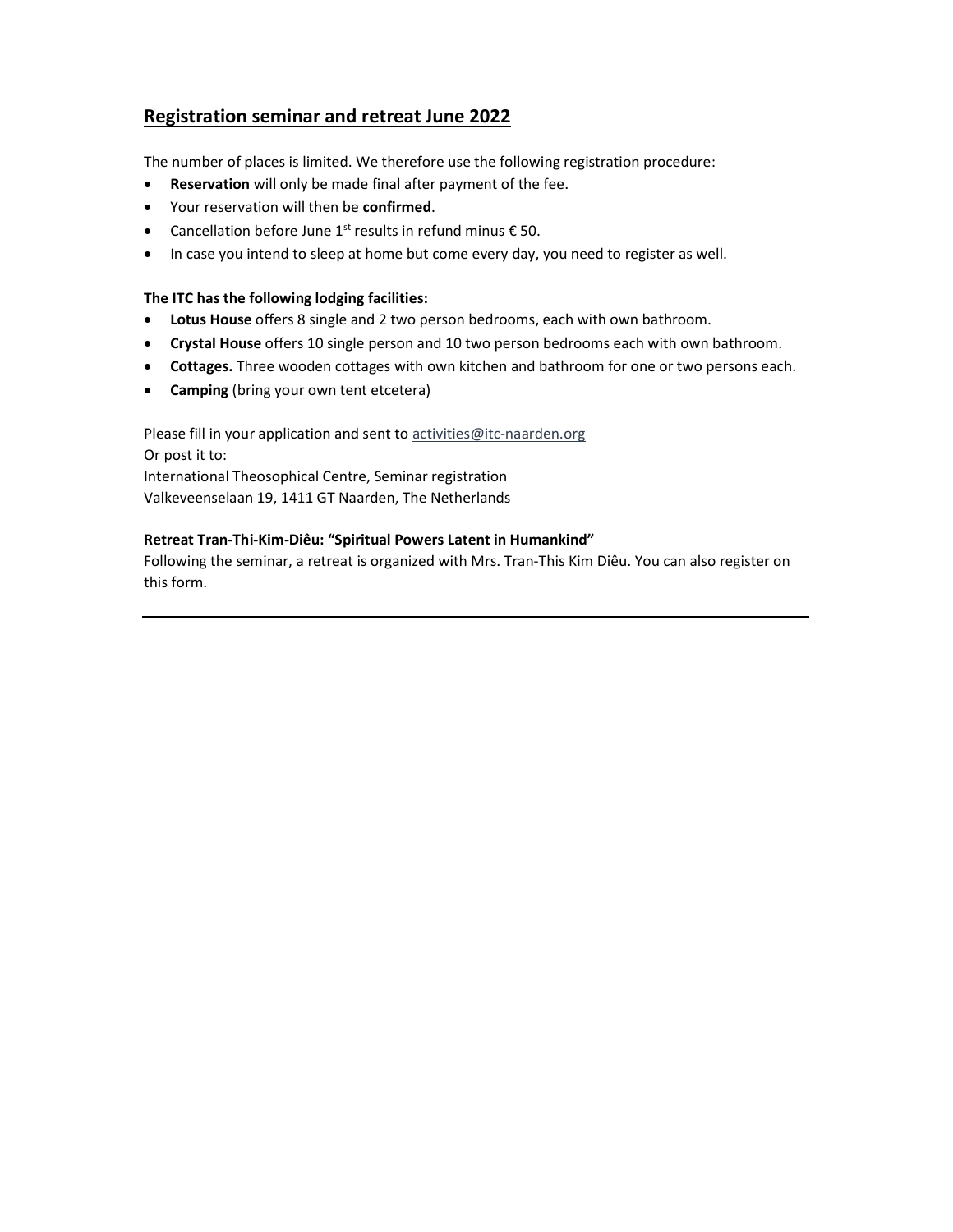# Registration seminar and retreat June 2022

The number of places is limited. We therefore use the following registration procedure:

- Reservation will only be made final after payment of the fee.
- Your reservation will then be confirmed.
- Cancellation before June 1<sup>st</sup> results in refund minus  $€50$ .
- In case you intend to sleep at home but come every day, you need to register as well.

#### The ITC has the following lodging facilities:

- Lotus House offers 8 single and 2 two person bedrooms, each with own bathroom.
- Crystal House offers 10 single person and 10 two person bedrooms each with own bathroom.
- Cottages. Three wooden cottages with own kitchen and bathroom for one or two persons each.
- Camping (bring your own tent etcetera)

Please fill in your application and sent to activities@itc-naarden.org Or post it to: International Theosophical Centre, Seminar registration Valkeveenselaan 19, 1411 GT Naarden, The Netherlands

### Retreat Tran-Thi-Kim-Diêu: "Spiritual Powers Latent in Humankind"

Following the seminar, a retreat is organized with Mrs. Tran-This Kim Diêu. You can also register on this form.